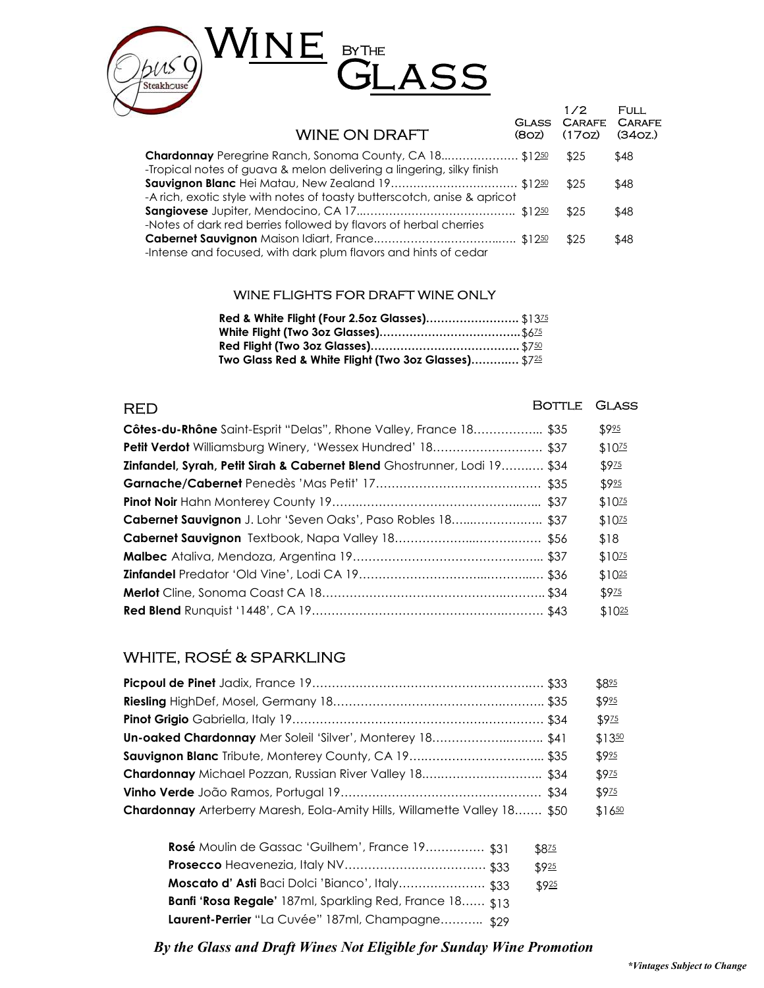

| <b>WINE ON DRAFT</b>                                                                                                             | (8 <sub>OZ</sub> ) | 1/2<br><b>GLASS CARAFE</b><br>(17 <sub>OZ</sub> ) | <b>FULL</b><br><b>CARAFE</b><br>(34 <sub>OZ</sub> ) |
|----------------------------------------------------------------------------------------------------------------------------------|--------------------|---------------------------------------------------|-----------------------------------------------------|
| Chardonnay Peregrine Ranch, Sonoma County, CA 18 \$1250<br>-Tropical notes of guava & melon delivering a lingering, silky finish |                    | \$25                                              | \$48                                                |
| -A rich, exotic style with notes of toasty butterscotch, anise & apricot                                                         |                    | \$25                                              | \$48                                                |
| -Notes of dark red berries followed by flavors of herbal cherries                                                                |                    | \$25                                              | \$48                                                |
| -Intense and focused, with dark plum flavors and hints of cedar                                                                  |                    | \$25                                              | \$48                                                |
|                                                                                                                                  |                    |                                                   |                                                     |

#### WINE FLIGHTS FOR DRAFT WINE ONLY

| Two Glass Red & White Flight (Two 3oz Glasses) \$725 |  |
|------------------------------------------------------|--|

| <b>RED</b>                                                               | <b>BOTTLE</b> | <b>GLASS</b>       |
|--------------------------------------------------------------------------|---------------|--------------------|
| <b>Côtes-du-Rhône</b> Saint-Esprit "Delas", Rhone Valley, France 18 \$35 |               | \$925              |
| <b>Petit Verdot</b> Williamsburg Winery, 'Wessex Hundred' 18 \$37        |               | \$10 <sub>25</sub> |
| Zinfandel, Syrah, Petit Sirah & Cabernet Blend Ghostrunner, Lodi 19 \$34 |               | \$975              |
|                                                                          |               | \$925              |
|                                                                          |               | $$10^{75}$         |
| Cabernet Sauvignon J. Lohr 'Seven Oaks', Paso Robles 18 \$37             |               | \$10 <sub>25</sub> |
|                                                                          |               | \$18               |
|                                                                          |               | \$10 <sup>25</sup> |
|                                                                          |               | \$1025             |
|                                                                          |               | \$9 <sub>75</sub>  |
|                                                                          |               | \$1025             |

## WHITE, ROSÉ & SPARKLING

|                                                                           | \$825  |
|---------------------------------------------------------------------------|--------|
|                                                                           | \$925  |
|                                                                           | \$975  |
| Un-oaked Chardonnay Mer Soleil 'Silver', Monterey 18 \$41                 | \$1350 |
|                                                                           | \$925  |
| Chardonnay Michael Pozzan, Russian River Valley 18 \$34                   | \$925  |
|                                                                           | \$925  |
| Chardonnay Arterberry Maresh, Eola-Amity Hills, Willamette Valley 18 \$50 | \$1650 |

| Rosé Moulin de Gassac 'Guilhem', France 19 \$31                 | \$825 |
|-----------------------------------------------------------------|-------|
|                                                                 | \$925 |
| Moscato d'Asti Baci Dolci 'Bianco', Italy \$33                  | \$925 |
| <b>Banfi 'Rosa Regale'</b> 187ml, Sparkling Red, France 18 \$13 |       |
| Laurent-Perrier "La Cuvée" 187ml, Champagne \$29                |       |

By the Glass and Draft Wines Not Eligible for Sunday Wine Promotion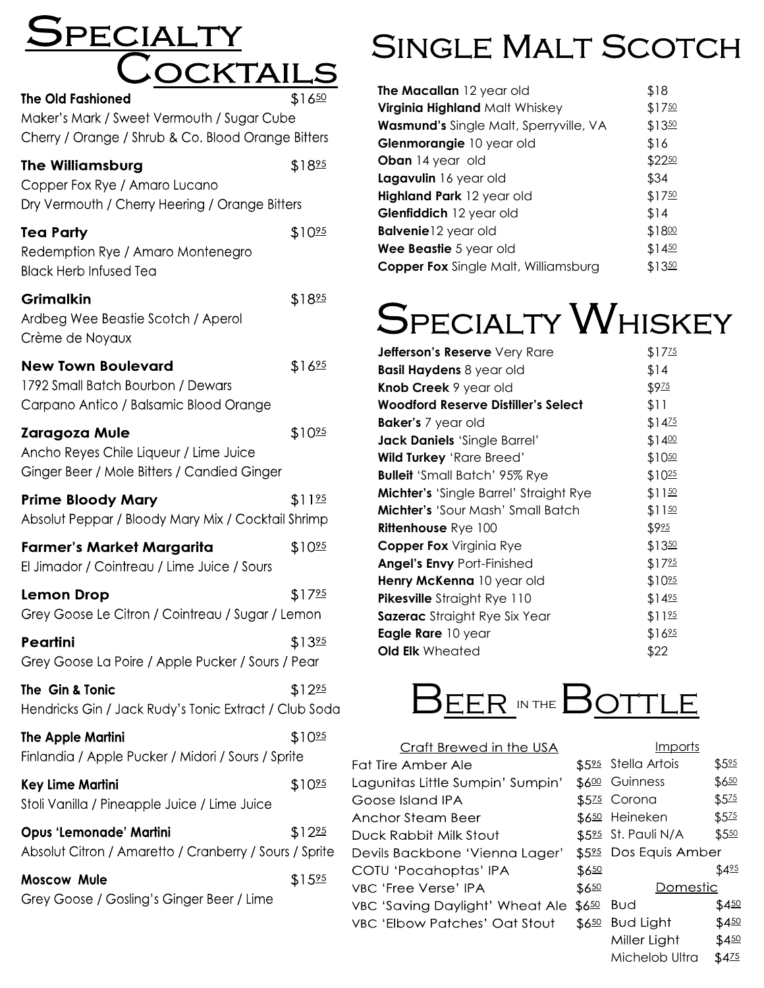# E PECIA  $\frac{1}{2}$ The Old Fashioned<br>The Old Fashioned

Maker's Mark / Sweet Vermouth / Sugar Cube Cherry / Orange / Shrub & Co. Blood Orange Bitters

| <b>The Williamsburg</b><br>Copper Fox Rye / Amaro Lucano<br>Dry Vermouth / Cherry Heering / Orange Bitters | \$1825             |
|------------------------------------------------------------------------------------------------------------|--------------------|
| <b>Tea Party</b><br>Redemption Rye / Amaro Montenegro<br><b>Black Herb Infused Tea</b>                     | \$10 <sup>25</sup> |
| <b>Grimalkin</b><br>Ardbeg Wee Beastie Scotch / Aperol<br>Crème de Noyaux                                  | \$1825             |
| <b>New Town Boulevard</b><br>1792 Small Batch Bourbon / Dewars<br>Carpano Antico / Balsamic Blood Orange   | \$1625             |
| Zaragoza Mule<br>Ancho Reyes Chile Liqueur / Lime Juice<br>Ginger Beer / Mole Bitters / Candied Ginger     | \$10 <sup>25</sup> |
| <b>Prime Bloody Mary</b><br>Absolut Peppar / Bloody Mary Mix / Cocktail Shrimp                             | \$1125             |
| <b>Farmer's Market Margarita</b><br>El Jimador / Cointreau / Lime Juice / Sours                            | \$10 <sup>25</sup> |
| Lemon Drop<br>Grey Goose Le Citron / Cointreau / Sugar / Lemon                                             | \$1725             |
| Peartini<br>Grey Goose La Poire / Apple Pucker / Sours / Pear                                              | \$1325             |
| The Gin & Tonic<br>Hendricks Gin / Jack Rudy's Tonic Extract / Club Soda                                   | \$12 <sup>95</sup> |
| <b>The Apple Martini</b><br>Finlandia / Apple Pucker / Midori / Sours / Sprite                             | \$1025             |
| <b>Key Lime Martini</b><br>Stoli Vanilla / Pineapple Juice / Lime Juice                                    | \$1025             |
| <b>Opus 'Lemonade' Martini</b><br>Absolut Citron / Amaretto / Cranberry / Sours / Sprite                   | \$1225             |
| <b>Moscow Mule</b><br>Grey Goose / Gosling's Ginger Beer / Lime                                            | \$1525             |

# SINGLE MALT SCOTCH

| The Macallan 12 year old                    | \$18   |
|---------------------------------------------|--------|
| Virginia Highland Malt Whiskey              | \$1750 |
| Wasmund's Single Malt, Sperryville, VA      | \$1350 |
| Glenmorangie 10 year old                    | \$16   |
| <b>Oban</b> 14 year old                     | \$2250 |
| Lagavulin 16 year old                       | \$34   |
| Highland Park 12 year old                   | \$1750 |
| Glenfiddich 12 year old                     | \$14   |
| <b>Balvenie</b> 12 year old                 | \$1800 |
| Wee Beastie 5 year old                      | \$1450 |
| <b>Copper Fox</b> Single Malt, Williamsburg | \$1350 |

# SPECIALTY WHISKEY

| <b>Jefferson's Reserve</b> Very Rare          | \$1725             |
|-----------------------------------------------|--------------------|
| <b>Basil Haydens 8 year old</b>               | \$14               |
| <b>Knob Creek 9 year old</b>                  | \$975              |
| Woodford Reserve Distiller's Select           | \$11               |
| <b>Baker's</b> 7 year old                     | \$1425             |
| Jack Daniels 'Single Barrel'                  | \$1400             |
| <b>Wild Turkey 'Rare Breed'</b>               | $$10^{50}$         |
| <b>Bulleit</b> 'Small Batch' 95% Rye          | $$10^{25}$         |
| <b>Michter's</b> 'Single Barrel' Straight Rye | \$1150             |
| Michter's 'Sour Mash' Small Batch             | \$1150             |
| <b>Rittenhouse Rye 100</b>                    | \$925              |
| <b>Copper Fox</b> Virginia Rye                | \$1350             |
| <b>Angel's Envy Port-Finished</b>             | \$1725             |
| Henry McKenna 10 year old                     | \$10 <sup>95</sup> |
| <b>Pikesville</b> Straight Rye 110            | \$1425             |
| Sazerac Straight Rye Six Year                 | \$1125             |
| <b>Eagle Rare</b> 10 year                     | \$1625             |
| <b>Old Elk</b> Wheated                        | \$22               |



| Craft Brewed in the USA               |             |       |
|---------------------------------------|-------------|-------|
| <b>Fat Tire Amber Ale</b>             | \$525 Stell |       |
| Lagunitas Little Sumpin' Sumpin'      | \$600 Guir  |       |
| Goose Island IPA                      | \$575 Cor   |       |
| Anchor Steam Beer                     | \$650 Heir  |       |
| Duck Rabbit Milk Stout                | \$525 St. P |       |
| Devils Backbone 'Vienna Lager'        | \$525 Dos   |       |
| COTU 'Pocahoptas' IPA                 | \$650       |       |
| VBC 'Free Verse' IPA                  | \$650       |       |
| VBC 'Saving Daylight' Wheat Ale \$650 |             | Buc   |
| VBC 'Elbow Patches' Oat Stout         | \$650       | Bud   |
|                                       |             | Mille |

|              | Imports           |       |
|--------------|-------------------|-------|
| <u>595</u>   | Stella Artois     | \$525 |
| 600          | Guinness          | \$650 |
| $5^{75}$     | Corona            | \$525 |
| <u>650</u>   | Heineken          | \$525 |
|              | 525 St. Pauli N/A | \$550 |
| 525          | Dos Equis Amber   |       |
| 650          |                   | \$425 |
| 650          | <u>Domestic</u>   |       |
| $50^{\circ}$ | Bud               | \$450 |
| 650          | Bud Light         | \$450 |
|              | Miller Light      | \$450 |
|              | Michelob Ultra    | \$425 |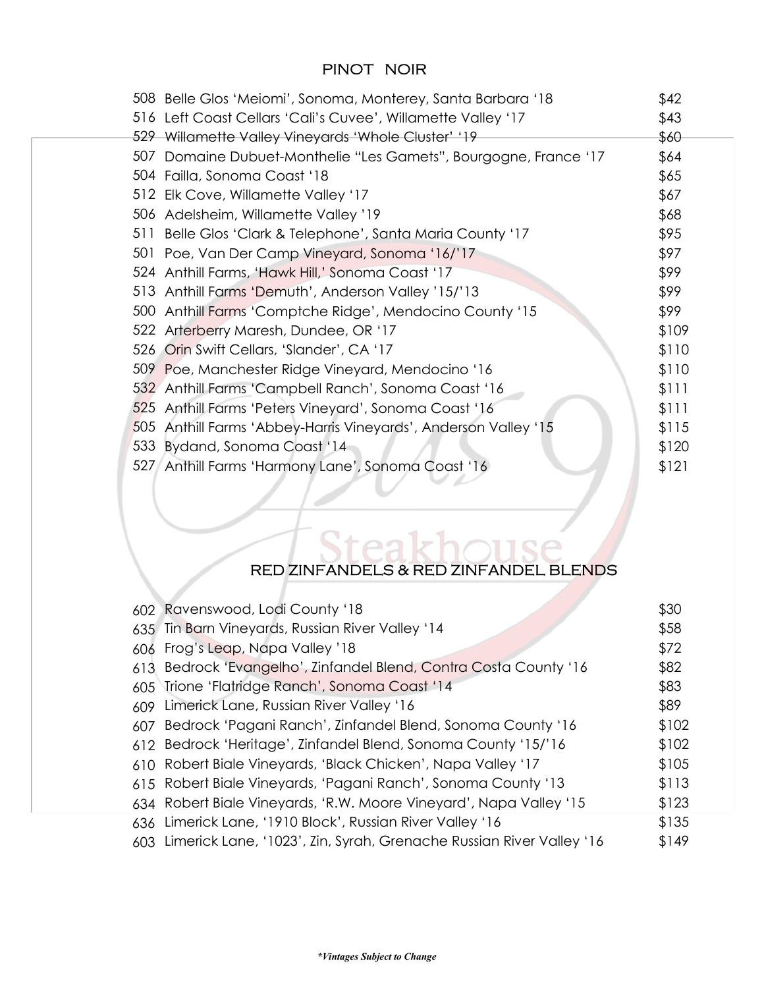#### PINOT NOIR

| 508 Belle Glos 'Meiomi', Sonoma, Monterey, Santa Barbara '18     | \$42  |
|------------------------------------------------------------------|-------|
| 516 Left Coast Cellars 'Cali's Cuvee', Willamette Valley '17     | \$43  |
| 529 Willamette Valley Vineyards 'Whole Cluster' '19              | \$60  |
| 507 Domaine Dubuet-Monthelie "Les Gamets", Bourgogne, France '17 | \$64  |
| 504 Failla, Sonoma Coast '18                                     | \$65  |
| 512 Elk Cove, Willamette Valley '17                              | \$67  |
| 506 Adelsheim, Willamette Valley '19                             | \$68  |
| 511 Belle Glos 'Clark & Telephone', Santa Maria County '17       | \$95  |
| 501 Poe, Van Der Camp Vineyard, Sonoma '16/'17                   | \$97  |
| 524 Anthill Farms, 'Hawk Hill,' Sonoma Coast '17                 | \$99  |
| 513 Anthill Farms 'Demuth', Anderson Valley '15/'13              | \$99  |
| 500 Anthill Farms 'Comptche Ridge', Mendocino County '15         | \$99  |
| 522 Arterberry Maresh, Dundee, OR '17                            | \$109 |
| 526 Orin Swift Cellars, 'Slander', CA '17                        | \$110 |
| 509 Poe, Manchester Ridge Vineyard, Mendocino '16                | \$110 |
| 532 Anthill Farms 'Campbell Ranch', Sonoma Coast '16             | \$111 |
| 525 Anthill Farms 'Peters Vineyard', Sonoma Coast '16            | \$111 |
| 505 Anthill Farms 'Abbey-Harris Vineyards', Anderson Valley '15  | \$115 |
| 533 Bydand, Sonoma Coast '14                                     | \$120 |
| 527 Anthill Farms 'Harmony Lane', Sonoma Coast '16               | \$121 |
|                                                                  |       |

#### RED ZINFANDELS & RED ZINFANDEL BLENDS

ł

|     | 602 Ravenswood, Lodi County '18                                          | \$30  |
|-----|--------------------------------------------------------------------------|-------|
|     | 635 Tin Barn Vineyards, Russian River Valley '14                         | \$58  |
|     | 606 Frog's Leap, Napa Valley '18                                         | \$72  |
| 613 | Bedrock 'Evangelho', Zinfandel Blend, Contra Costa County '16            | \$82  |
|     | 605 Trione 'Flatridge Ranch', Sonoma Coast '14                           | \$83  |
|     | 609 Limerick Lane, Russian River Valley '16                              | \$89  |
| 607 | Bedrock 'Pagani Ranch', Zinfandel Blend, Sonoma County '16               | \$102 |
|     | 612 Bedrock 'Heritage', Zinfandel Blend, Sonoma County '15/'16           | \$102 |
|     | 610 Robert Biale Vineyards, 'Black Chicken', Napa Valley '17             | \$105 |
|     | 615 Robert Biale Vineyards, 'Pagani Ranch', Sonoma County '13            | \$113 |
|     | 634 Robert Biale Vineyards, 'R.W. Moore Vineyard', Napa Valley '15       | \$123 |
|     | 636 Limerick Lane, '1910 Block', Russian River Valley '16                | \$135 |
|     | 603 Limerick Lane, '1023', Zin, Syrah, Grenache Russian River Valley '16 | \$149 |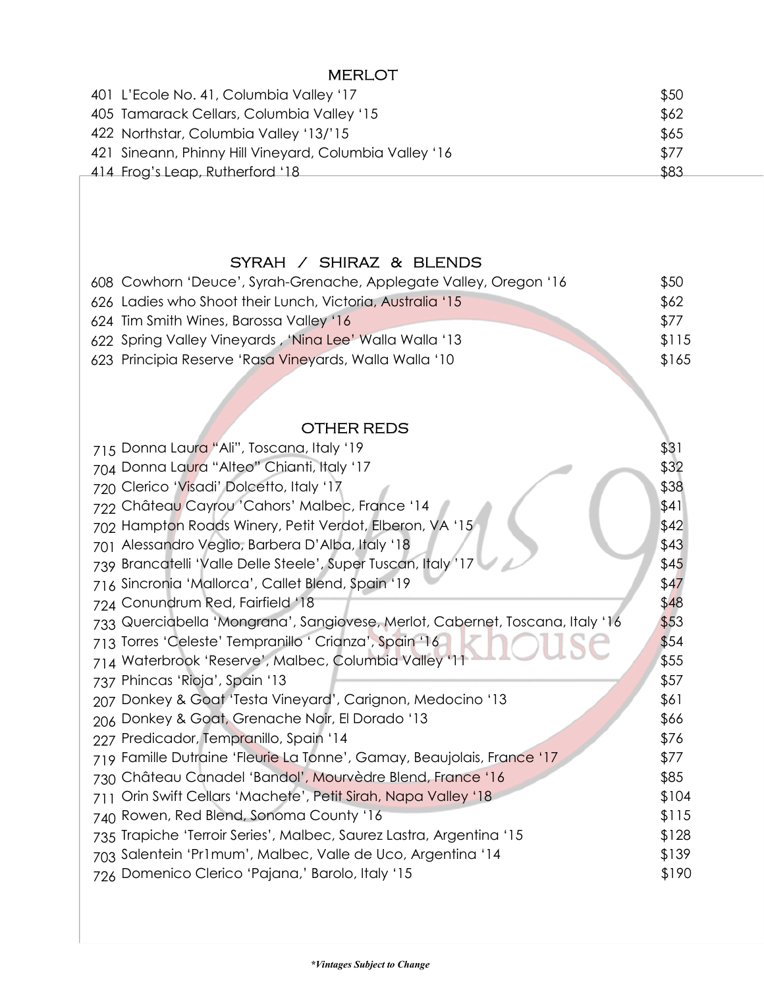#### MERLOT

| 401 L'Ecole No. 41, Columbia Valley '17                | \$50 |
|--------------------------------------------------------|------|
| 405 Tamarack Cellars, Columbia Valley '15              | \$62 |
| 422 Northstar, Columbia Valley '13/'15                 | \$65 |
| 421 Sineann, Phinny Hill Vineyard, Columbia Valley '16 | \$77 |
| 414 Frog's Leap, Rutherford '18                        | \$83 |

#### SYRAH / SHIRAZ & BLENDS

| 608 Cowhorn 'Deuce', Syrah-Grenache, Applegate Valley, Oregon '16 | \$50  |
|-------------------------------------------------------------------|-------|
| 626 Ladies who Shoot their Lunch, Victoria, Australia '15         | \$62  |
| 624 Tim Smith Wines, Barossa Valley '16                           | \$77  |
| 622 Spring Valley Vineyards, 'Nina Lee' Walla Walla '13           | \$115 |
| 623 Principia Reserve 'Rasa Vineyards, Walla Walla '10            | \$165 |
|                                                                   |       |
|                                                                   |       |
| <b>OTHER REDS</b>                                                 |       |

#### OTHER REDS

| 715 Donna Laura "Ali", Toscana, Italy '19                                     | \$31  |
|-------------------------------------------------------------------------------|-------|
| 704 Donna Laura "Alteo" Chianti, Italy '17                                    | \$32  |
| 720 Clerico 'Visadi' Dolcetto, Italy '17                                      | \$38  |
| 722 Château Cayrou 'Cahors' Malbec, France '14                                | \$41  |
| 702 Hampton Roads Winery, Petit Verdot, Elberon, VA '15                       | \$42  |
| 701 Alessandro Veglio, Barbera D'Alba, Italy '18                              | \$43  |
| 739 Brancatelli 'Valle Delle Steele', Super Tuscan, Italy '17                 | \$45  |
| 716 Sincronia 'Mallorca', Callet Blend, Spain '19                             | \$47  |
| 724 Conundrum Red, Fairfield '18                                              | \$48  |
| 733 Querciabella 'Mongrana', Sangiovese, Merlot, Cabernet, Toscana, Italy '16 | \$53  |
| 713 Torres 'Celeste' Tempranillo ' Crianza', Spain '16                        | \$54  |
| 714 Waterbrook 'Reserve', Malbec, Columbia Valley '11                         | \$55  |
| 737 Phincas 'Rioja', Spain '13                                                | \$57  |
| Donkey & Goat 'Testa Vineyard', Carignon, Medocino '13<br>207                 | \$61  |
| 206 Donkey & Goat, Grenache Noir, El Dorado '13                               | \$66  |
| 227 Predicador, Tempranillo, Spain '14                                        | \$76  |
| 719 Famille Dutraine 'Fleurie La Tonne', Gamay, Beaujolais, France '17        | \$77  |
| 730 Château Canadel 'Bandol', Mourvèdre Blend, France '16                     | \$85  |
| Orin Swift Cellars 'Machete', Petit Sirah, Napa Valley '18<br>711             | \$104 |
| Rowen, Red Blend, Sonoma County '16<br>740                                    | \$115 |
| 735 Trapiche 'Terroir Series', Malbec, Saurez Lastra, Argentina '15           | \$128 |
| 703 Salentein 'Pr1mum', Malbec, Valle de Uco, Argentina '14                   | \$139 |
| 726 Domenico Clerico 'Pajana,' Barolo, Italy '15                              | \$190 |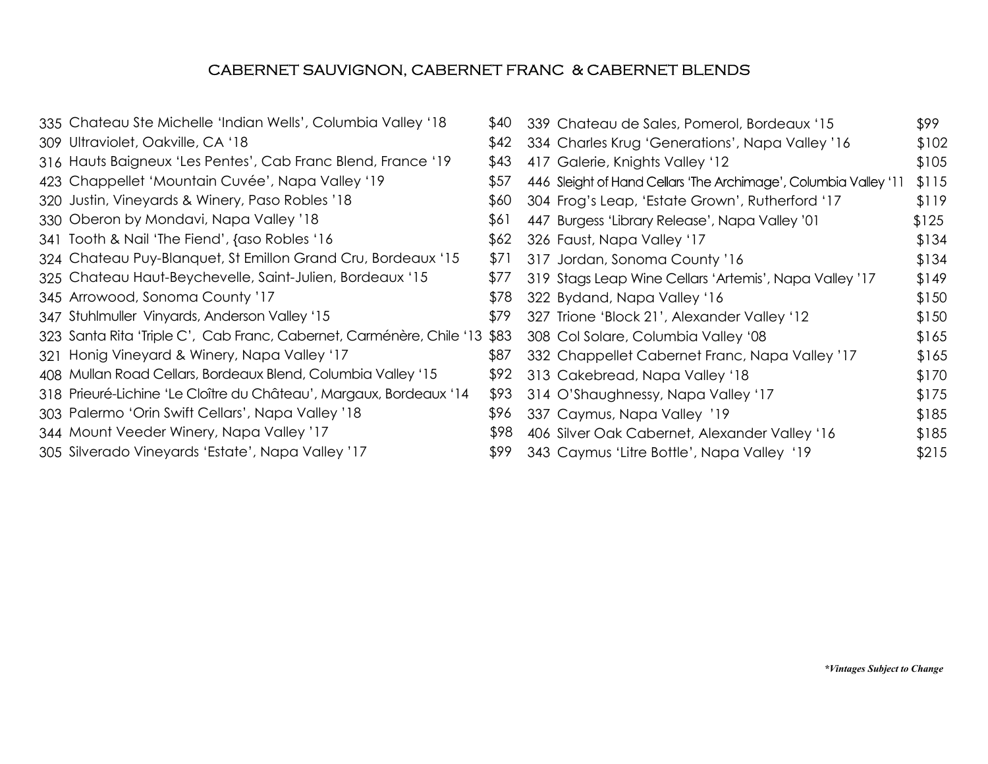#### CABERNET SAUVIGNON, CABERNET FRANC & CABERNET BLENDS

335 Chateau Ste Michelle 'Indian Wells', Columbia Valley '18 \$40 Ultraviolet, Oakville, CA '18 \$42 309 316 Hauts Baigneux 'Les Pentes', Cab Franc Blend, France '19 \$43 423 Chappellet 'Mountain Cuvée', Napa Valley '19 \$57 320 Justin, Vineyards & Winery, Paso Robles '18 \$60 330 Oberon by Mondavi, Napa Valley '18 \$61 341 Tooth & Nail 'The Fiend', {aso Robles '16 \$62 324 Chateau Puy-Blanquet, St Emillon Grand Cru, Bordeaux '15 \$71 325 Chateau Haut-Beychevelle, Saint-Julien, Bordeaux '15 \$77 Arrowood, Sonoma County '17 \$78 345 347 Stuhlmuller Vinyards, Anderson Valley '15 \$79 323 Santa Rita 'Triple C', Cab Franc, Cabernet, Carménère, Chile '13 \$83 321 Honig Vineyard & Winery, Napa Valley '17 \$87 408 Mullan Road Cellars, Bordeaux Blend, Columbia Valley '15 \$92 Prieuré-Lichine 'Le Cloître du Château', Margaux, Bordeaux '14 \$93 318 303 Palermo 'Orin Swift Cellars', Napa Valley '18 \$96 344 Mount Veeder Winery, Napa Valley '17 \$98 305 Silverado Vineyards 'Estate', Napa Valley '17 \$99

| \$40 | 339 Chateau de Sales, Pomerol, Bordeaux '15                      | \$99  |
|------|------------------------------------------------------------------|-------|
| \$42 | 334 Charles Krug 'Generations', Napa Valley '16                  | \$102 |
| \$43 | 417 Galerie, Knights Valley '12                                  | \$105 |
| \$57 | 446 Sleight of Hand Cellars 'The Archimage', Columbia Valley '11 | \$115 |
| \$60 | 304 Frog's Leap, 'Estate Grown', Rutherford '17                  | \$119 |
| \$61 | 447 Burgess 'Library Release', Napa Valley '01                   | \$125 |
| \$62 | 326 Faust, Napa Valley '17                                       | \$134 |
| \$71 | 317 Jordan, Sonoma County '16                                    | \$134 |
| \$77 | 319 Stags Leap Wine Cellars 'Artemis', Napa Valley '17           | \$149 |
| \$78 | 322 Bydand, Napa Valley '16                                      | \$150 |
| \$79 | 327 Trione 'Block 21', Alexander Valley '12                      | \$150 |
| \$83 | 308 Col Solare, Columbia Valley '08                              | \$165 |
| \$87 | 332 Chappellet Cabernet Franc, Napa Valley '17                   | \$165 |
| \$92 | 313 Cakebread, Napa Valley '18                                   | \$170 |
| \$93 | 314 O'Shaughnessy, Napa Valley '17                               | \$175 |
| \$96 | 337 Caymus, Napa Valley '19                                      | \$185 |
| \$98 | 406 Silver Oak Cabernet, Alexander Valley '16                    | \$185 |
| \$99 | 343 Caymus 'Litre Bottle', Napa Valley '19                       | \$215 |